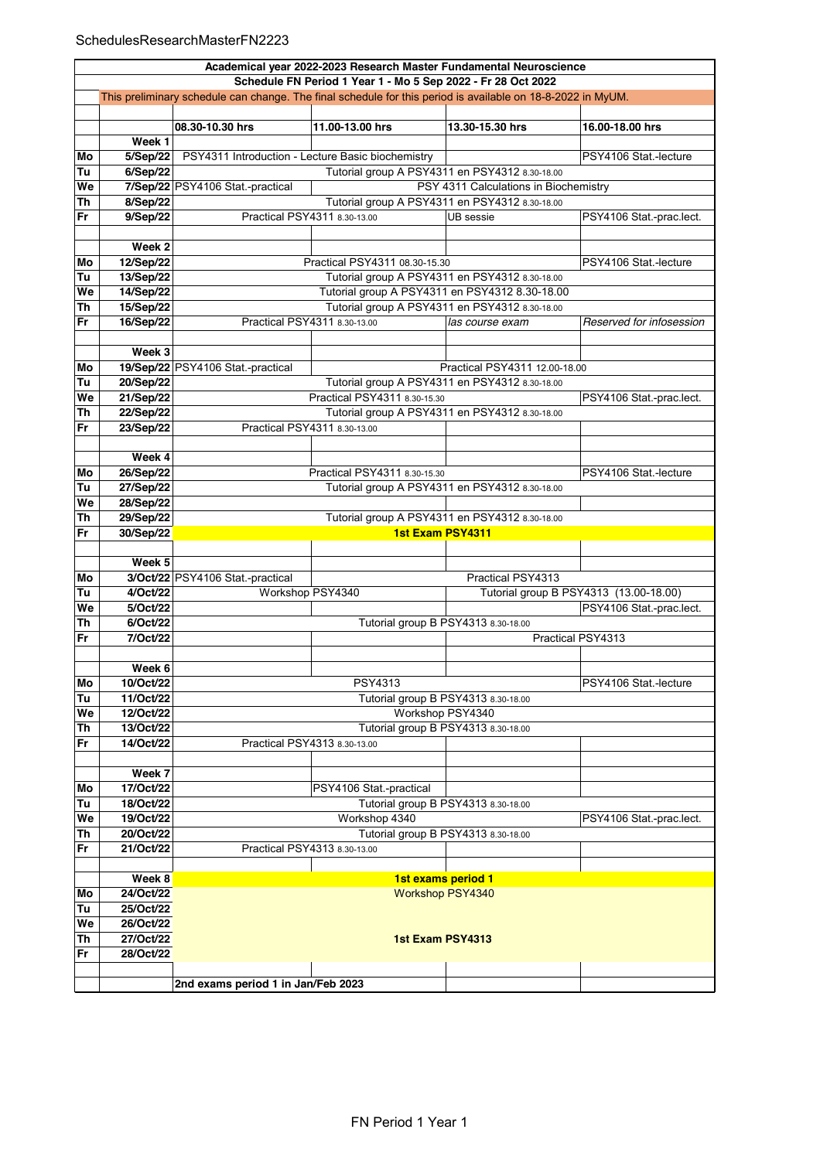|          | Academical year 2022-2023 Research Master Fundamental Neuroscience |                                                                                                             |                                                                |                                                |                                        |  |  |
|----------|--------------------------------------------------------------------|-------------------------------------------------------------------------------------------------------------|----------------------------------------------------------------|------------------------------------------------|----------------------------------------|--|--|
|          | Schedule FN Period 1 Year 1 - Mo 5 Sep 2022 - Fr 28 Oct 2022       |                                                                                                             |                                                                |                                                |                                        |  |  |
|          |                                                                    | This preliminary schedule can change. The final schedule for this period is available on 18-8-2022 in MyUM. |                                                                |                                                |                                        |  |  |
|          |                                                                    | 08.30-10.30 hrs                                                                                             | 11.00-13.00 hrs                                                | 13.30-15.30 hrs                                | 16.00-18.00 hrs                        |  |  |
|          | Week 1                                                             |                                                                                                             |                                                                |                                                |                                        |  |  |
| Mo       | 5/Sep/22                                                           | PSY4311 Introduction - Lecture Basic biochemistry                                                           |                                                                |                                                | PSY4106 Stat.-lecture                  |  |  |
| Tu       | 6/Sep/22                                                           |                                                                                                             | Tutorial group A PSY4311 en PSY4312 8.30-18.00                 |                                                |                                        |  |  |
| We       |                                                                    | 7/Sep/22 PSY4106 Stat.-practical                                                                            |                                                                | PSY 4311 Calculations in Biochemistry          |                                        |  |  |
| Th       | 8/Sep/22                                                           |                                                                                                             | Tutorial group A PSY4311 en PSY4312 8.30-18.00                 |                                                |                                        |  |  |
| Fr       | 9/Sep/22                                                           | Practical PSY4311 8.30-13.00<br>UB sessie<br>PSY4106 Stat -prac.lect.                                       |                                                                |                                                |                                        |  |  |
|          |                                                                    |                                                                                                             |                                                                |                                                |                                        |  |  |
|          | Week 2                                                             |                                                                                                             |                                                                |                                                |                                        |  |  |
| Mo       | 12/Sep/22                                                          |                                                                                                             | Practical PSY4311 08.30-15.30                                  |                                                | PSY4106 Stat.-lecture                  |  |  |
| Tu       | 13/Sep/22                                                          |                                                                                                             | Tutorial group A PSY4311 en PSY4312 8.30-18.00                 |                                                |                                        |  |  |
| We       | 14/Sep/22                                                          |                                                                                                             |                                                                | Tutorial group A PSY4311 en PSY4312 8.30-18.00 |                                        |  |  |
| Th       | 15/Sep/22                                                          |                                                                                                             | Tutorial group A PSY4311 en PSY4312 8.30-18.00                 |                                                |                                        |  |  |
| Fr       | 16/Sep/22                                                          |                                                                                                             | Practical PSY4311 8.30-13.00                                   | las course exam                                | Reserved for infosession               |  |  |
|          |                                                                    |                                                                                                             |                                                                |                                                |                                        |  |  |
|          | Week 3                                                             |                                                                                                             |                                                                |                                                |                                        |  |  |
| Mo       |                                                                    | 19/Sep/22 PSY4106 Stat.-practical                                                                           |                                                                | Practical PSY4311 12.00-18.00                  |                                        |  |  |
| Tu       | 20/Sep/22                                                          |                                                                                                             | Tutorial group A PSY4311 en PSY4312 8.30-18.00                 |                                                |                                        |  |  |
| We       | 21/Sep/22                                                          |                                                                                                             | Practical PSY4311 8.30-15.30                                   |                                                | PSY4106 Stat -prac.lect.               |  |  |
| Th       | 22/Sep/22                                                          |                                                                                                             | Tutorial group A PSY4311 en PSY4312 8.30-18.00                 |                                                |                                        |  |  |
| Fr       | 23/Sep/22                                                          |                                                                                                             | Practical PSY4311 8.30-13.00                                   |                                                |                                        |  |  |
|          |                                                                    |                                                                                                             |                                                                |                                                |                                        |  |  |
|          | Week 4                                                             |                                                                                                             |                                                                |                                                |                                        |  |  |
| Mo       | 26/Sep/22                                                          |                                                                                                             | Practical PSY4311 8.30-15.30                                   |                                                | PSY4106 Stat.-lecture                  |  |  |
| Tu       | 27/Sep/22                                                          |                                                                                                             | Tutorial group A PSY4311 en PSY4312 8.30-18.00                 |                                                |                                        |  |  |
| We       | 28/Sep/22                                                          |                                                                                                             |                                                                |                                                |                                        |  |  |
| Th       | 29/Sep/22                                                          | Tutorial group A PSY4311 en PSY4312 8.30-18.00                                                              |                                                                |                                                |                                        |  |  |
| Fr       | 30/Sep/22                                                          | <b>1st Exam PSY4311</b>                                                                                     |                                                                |                                                |                                        |  |  |
|          |                                                                    |                                                                                                             |                                                                |                                                |                                        |  |  |
|          | Week 5                                                             |                                                                                                             |                                                                |                                                |                                        |  |  |
| Mo       |                                                                    | 3/Oct/22 PSY4106 Stat.-practical                                                                            |                                                                | Practical PSY4313                              |                                        |  |  |
| Tu       | 4/Oct/22                                                           | Workshop PSY4340                                                                                            |                                                                |                                                | Tutorial group B PSY4313 (13.00-18.00) |  |  |
| We       | 5/Oct/22                                                           |                                                                                                             |                                                                |                                                | PSY4106 Stat.-prac.lect.               |  |  |
| Th       | 6/Oct/22                                                           |                                                                                                             |                                                                | Tutorial group B PSY4313 8.30-18.00            |                                        |  |  |
| Fr       | 7/Oct/22                                                           |                                                                                                             |                                                                |                                                | Practical PSY4313                      |  |  |
|          |                                                                    |                                                                                                             |                                                                |                                                |                                        |  |  |
|          | Week 6                                                             |                                                                                                             |                                                                |                                                |                                        |  |  |
| Mo       | 10/Oct/22                                                          |                                                                                                             | PSY4313                                                        |                                                | PSY4106 Stat.-lecture                  |  |  |
| Tu       | 11/Oct/22                                                          |                                                                                                             | Tutorial group B PSY4313 8.30-18.00                            |                                                |                                        |  |  |
| We       | 12/Oct/22                                                          |                                                                                                             | Workshop PSY4340                                               |                                                |                                        |  |  |
| Th       | 13/Oct/22                                                          |                                                                                                             |                                                                | Tutorial group B PSY4313 8.30-18.00            |                                        |  |  |
| Fr       | 14/Oct/22                                                          |                                                                                                             | Practical PSY4313 8.30-13.00                                   |                                                |                                        |  |  |
|          |                                                                    |                                                                                                             |                                                                |                                                |                                        |  |  |
|          | Week 7                                                             |                                                                                                             |                                                                |                                                |                                        |  |  |
| Mo       | 17/Oct/22<br>18/Oct/22                                             |                                                                                                             | PSY4106 Stat.-practical<br>Tutorial group B PSY4313 8.30-18.00 |                                                |                                        |  |  |
| Tu       |                                                                    |                                                                                                             | Workshop 4340                                                  |                                                |                                        |  |  |
| We       | 19/Oct/22                                                          |                                                                                                             |                                                                |                                                | PSY4106 Stat.-prac.lect.               |  |  |
| Th       | 20/Oct/22                                                          | Tutorial group B PSY4313 8.30-18.00                                                                         |                                                                |                                                |                                        |  |  |
| Fr       | 21/Oct/22                                                          | Practical PSY4313 8.30-13.00                                                                                |                                                                |                                                |                                        |  |  |
|          | Week 8                                                             |                                                                                                             | 1st exams period 1                                             |                                                |                                        |  |  |
|          | 24/Oct/22                                                          |                                                                                                             | <b>Workshop PSY4340</b>                                        |                                                |                                        |  |  |
| Mo       | 25/Oct/22                                                          |                                                                                                             |                                                                |                                                |                                        |  |  |
| Tu<br>We | 26/Oct/22                                                          |                                                                                                             |                                                                |                                                |                                        |  |  |
| Th       | 27/Oct/22                                                          |                                                                                                             |                                                                |                                                |                                        |  |  |
|          |                                                                    |                                                                                                             | 1st Exam PSY4313                                               |                                                |                                        |  |  |
| Fr       | 28/Oct/22                                                          |                                                                                                             |                                                                |                                                |                                        |  |  |
|          |                                                                    | 2nd exams period 1 in Jan/Feb 2023                                                                          |                                                                |                                                |                                        |  |  |
|          |                                                                    |                                                                                                             |                                                                |                                                |                                        |  |  |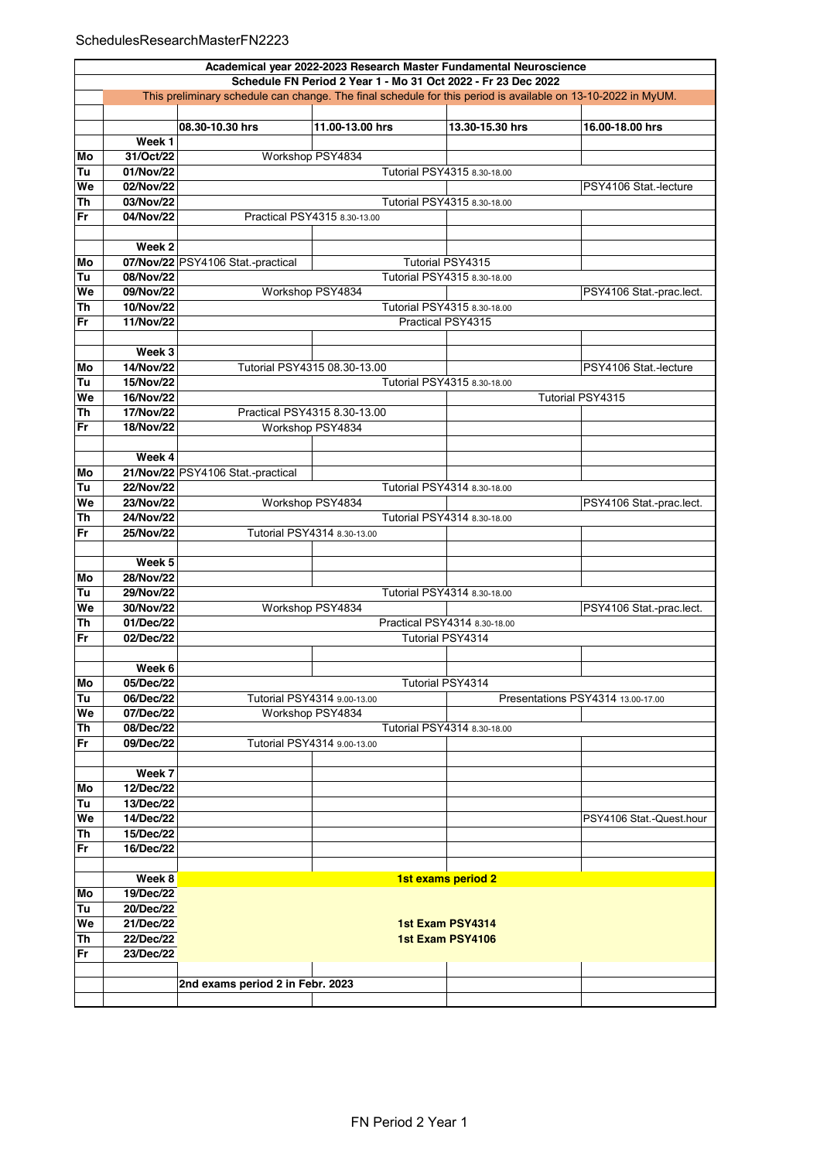## SchedulesResearchMasterFN2223

|    | Academical year 2022-2023 Research Master Fundamental Neuroscience                                           |                                   |                              |                              |                                   |  |  |  |
|----|--------------------------------------------------------------------------------------------------------------|-----------------------------------|------------------------------|------------------------------|-----------------------------------|--|--|--|
|    | Schedule FN Period 2 Year 1 - Mo 31 Oct 2022 - Fr 23 Dec 2022                                                |                                   |                              |                              |                                   |  |  |  |
|    | This preliminary schedule can change. The final schedule for this period is available on 13-10-2022 in MyUM. |                                   |                              |                              |                                   |  |  |  |
|    |                                                                                                              |                                   |                              |                              |                                   |  |  |  |
|    |                                                                                                              | 08.30-10.30 hrs                   | 11.00-13.00 hrs              | 13.30-15.30 hrs              | 16.00-18.00 hrs                   |  |  |  |
|    | Week 1                                                                                                       |                                   |                              |                              |                                   |  |  |  |
| Mo | 31/Oct/22                                                                                                    |                                   | Workshop PSY4834             |                              |                                   |  |  |  |
| Tu | 01/Nov/22                                                                                                    |                                   |                              | Tutorial PSY4315 8.30-18.00  |                                   |  |  |  |
| We | 02/Nov/22                                                                                                    |                                   |                              |                              | PSY4106 Stat -lecture             |  |  |  |
| Th | 03/Nov/22                                                                                                    |                                   | Tutorial PSY4315 8.30-18.00  |                              |                                   |  |  |  |
| Fr | 04/Nov/22                                                                                                    |                                   | Practical PSY4315 8.30-13.00 |                              |                                   |  |  |  |
|    |                                                                                                              |                                   |                              |                              |                                   |  |  |  |
|    | Week 2                                                                                                       |                                   |                              |                              |                                   |  |  |  |
| Mo |                                                                                                              | 07/Nov/22 PSY4106 Stat.-practical |                              | Tutorial PSY4315             |                                   |  |  |  |
| Tu | 08/Nov/22                                                                                                    |                                   |                              | Tutorial PSY4315 8.30-18.00  |                                   |  |  |  |
| We | 09/Nov/22                                                                                                    |                                   | Workshop PSY4834             |                              | PSY4106 Stat.-prac.lect.          |  |  |  |
| Th | 10/Nov/22                                                                                                    |                                   |                              | Tutorial PSY4315 8.30-18.00  |                                   |  |  |  |
| Fr | 11/Nov/22                                                                                                    |                                   |                              | Practical PSY4315            |                                   |  |  |  |
|    |                                                                                                              |                                   |                              |                              |                                   |  |  |  |
|    | Week 3                                                                                                       |                                   |                              |                              |                                   |  |  |  |
| Mo | 14/Nov/22                                                                                                    |                                   | Tutorial PSY4315 08.30-13.00 |                              | PSY4106 Stat -lecture             |  |  |  |
| Tu | 15/Nov/22                                                                                                    |                                   |                              | Tutorial PSY4315 8.30-18.00  |                                   |  |  |  |
| We | 16/Nov/22                                                                                                    |                                   |                              |                              | Tutorial PSY4315                  |  |  |  |
| Th | 17/Nov/22                                                                                                    |                                   | Practical PSY4315 8.30-13.00 |                              |                                   |  |  |  |
| Fr | 18/Nov/22                                                                                                    |                                   | Workshop PSY4834             |                              |                                   |  |  |  |
|    |                                                                                                              |                                   |                              |                              |                                   |  |  |  |
|    | Week 4                                                                                                       |                                   |                              |                              |                                   |  |  |  |
| Mo |                                                                                                              | 21/Nov/22 PSY4106 Stat.-practical |                              |                              |                                   |  |  |  |
| Tu | 22/Nov/22                                                                                                    |                                   |                              | Tutorial PSY4314 8.30-18.00  |                                   |  |  |  |
| We | 23/Nov/22                                                                                                    |                                   | Workshop PSY4834             |                              | PSY4106 Stat.-prac.lect.          |  |  |  |
| Th | 24/Nov/22                                                                                                    |                                   |                              | Tutorial PSY4314 8.30-18.00  |                                   |  |  |  |
| Fr | 25/Nov/22                                                                                                    | Tutorial PSY4314 8.30-13.00       |                              |                              |                                   |  |  |  |
|    |                                                                                                              |                                   |                              |                              |                                   |  |  |  |
|    | Week <sub>5</sub>                                                                                            |                                   |                              |                              |                                   |  |  |  |
| Mo | 28/Nov/22                                                                                                    |                                   |                              |                              |                                   |  |  |  |
| Tu | 29/Nov/22                                                                                                    |                                   |                              | Tutorial PSY4314 8.30-18.00  |                                   |  |  |  |
| We | 30/Nov/22                                                                                                    |                                   | Workshop PSY4834             |                              | PSY4106 Stat.-prac.lect.          |  |  |  |
| Th | 01/Dec/22                                                                                                    |                                   |                              | Practical PSY4314 8.30-18.00 |                                   |  |  |  |
| Fr | 02/Dec/22                                                                                                    |                                   |                              | Tutorial PSY4314             |                                   |  |  |  |
|    |                                                                                                              |                                   |                              |                              |                                   |  |  |  |
|    | Week 6                                                                                                       |                                   |                              |                              |                                   |  |  |  |
| Mo | 05/Dec/22                                                                                                    |                                   |                              | Tutorial PSY4314             |                                   |  |  |  |
| Tu | 06/Dec/22                                                                                                    |                                   | Tutorial PSY4314 9.00-13.00  |                              | Presentations PSY4314 13.00-17.00 |  |  |  |
| We | 07/Dec/22                                                                                                    |                                   | Workshop PSY4834             |                              |                                   |  |  |  |
| Th | 08/Dec/22                                                                                                    |                                   |                              | Tutorial PSY4314 8.30-18.00  |                                   |  |  |  |
| Fr | 09/Dec/22                                                                                                    |                                   | Tutorial PSY4314 9.00-13.00  |                              |                                   |  |  |  |
|    |                                                                                                              |                                   |                              |                              |                                   |  |  |  |
|    | Week 7                                                                                                       |                                   |                              |                              |                                   |  |  |  |
| Mo | 12/Dec/22                                                                                                    |                                   |                              |                              |                                   |  |  |  |
| Tu | 13/Dec/22                                                                                                    |                                   |                              |                              |                                   |  |  |  |
| We | 14/Dec/22                                                                                                    |                                   |                              |                              | PSY4106 Stat.-Quest.hour          |  |  |  |
| Th | 15/Dec/22                                                                                                    |                                   |                              |                              |                                   |  |  |  |
| Fr | 16/Dec/22                                                                                                    |                                   |                              |                              |                                   |  |  |  |
|    |                                                                                                              |                                   |                              |                              |                                   |  |  |  |
|    | Week 8                                                                                                       |                                   |                              | 1st exams period 2           |                                   |  |  |  |
| Mo | 19/Dec/22                                                                                                    |                                   |                              |                              |                                   |  |  |  |
| Tu | 20/Dec/22                                                                                                    |                                   |                              |                              |                                   |  |  |  |
| We | 21/Dec/22                                                                                                    |                                   |                              | 1st Exam PSY4314             |                                   |  |  |  |
| Th | 22/Dec/22                                                                                                    |                                   |                              | 1st Exam PSY4106             |                                   |  |  |  |
| Fr | 23/Dec/22                                                                                                    |                                   |                              |                              |                                   |  |  |  |
|    |                                                                                                              |                                   |                              |                              |                                   |  |  |  |
|    |                                                                                                              | 2nd exams period 2 in Febr. 2023  |                              |                              |                                   |  |  |  |
|    |                                                                                                              |                                   |                              |                              |                                   |  |  |  |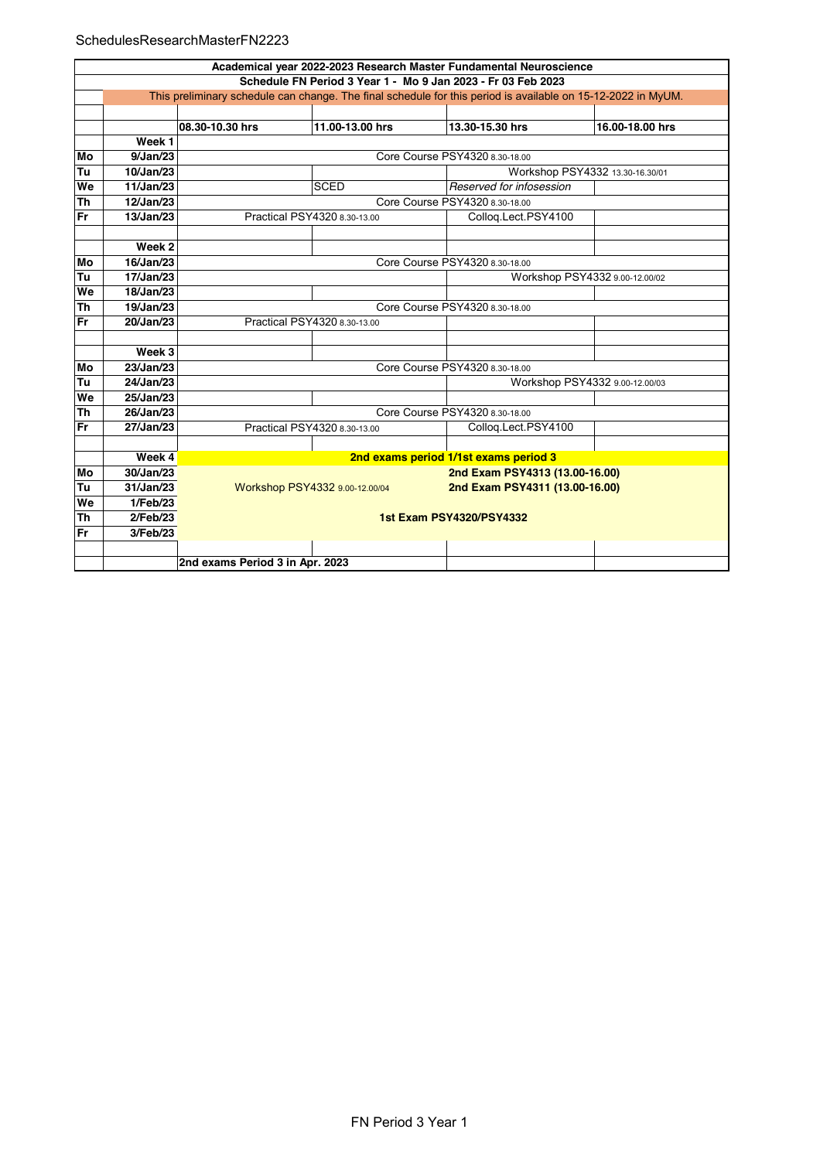## SchedulesResearchMasterFN2223

|           | Academical year 2022-2023 Research Master Fundamental Neuroscience                                           |                                 |                                                                  |                                       |                                 |  |  |  |
|-----------|--------------------------------------------------------------------------------------------------------------|---------------------------------|------------------------------------------------------------------|---------------------------------------|---------------------------------|--|--|--|
|           | Schedule FN Period 3 Year 1 - Mo 9 Jan 2023 - Fr 03 Feb 2023                                                 |                                 |                                                                  |                                       |                                 |  |  |  |
|           | This preliminary schedule can change. The final schedule for this period is available on 15-12-2022 in MyUM. |                                 |                                                                  |                                       |                                 |  |  |  |
|           |                                                                                                              |                                 |                                                                  |                                       |                                 |  |  |  |
|           |                                                                                                              | 08.30-10.30 hrs                 | 11.00-13.00 hrs                                                  | 13.30-15.30 hrs                       | 16.00-18.00 hrs                 |  |  |  |
|           | Week 1                                                                                                       |                                 |                                                                  |                                       |                                 |  |  |  |
| Mo        | 9/Jan/23                                                                                                     | Core Course PSY4320 8.30-18.00  |                                                                  |                                       |                                 |  |  |  |
| Tu        | 10/Jan/23                                                                                                    |                                 |                                                                  |                                       | Workshop PSY4332 13.30-16.30/01 |  |  |  |
| We        | 11/Jan/23                                                                                                    |                                 | <b>SCED</b>                                                      | Reserved for infosession              |                                 |  |  |  |
| <b>Th</b> | 12/Jan/23                                                                                                    |                                 |                                                                  | Core Course PSY4320 8.30-18.00        |                                 |  |  |  |
| Fr        | 13/Jan/23                                                                                                    |                                 | Practical PSY4320 8.30-13.00                                     | Collog.Lect.PSY4100                   |                                 |  |  |  |
|           |                                                                                                              |                                 |                                                                  |                                       |                                 |  |  |  |
|           | Week 2                                                                                                       |                                 |                                                                  |                                       |                                 |  |  |  |
| Mo        | 16/Jan/23                                                                                                    |                                 |                                                                  | Core Course PSY4320 8.30-18.00        |                                 |  |  |  |
| Tu        | 17/Jan/23                                                                                                    |                                 | Workshop PSY4332 9.00-12.00/02                                   |                                       |                                 |  |  |  |
| We        | 18/Jan/23                                                                                                    |                                 |                                                                  |                                       |                                 |  |  |  |
| <b>Th</b> | 19/Jan/23                                                                                                    |                                 | Core Course PSY4320 8.30-18.00                                   |                                       |                                 |  |  |  |
| <b>Fr</b> | 20/Jan/23                                                                                                    |                                 | Practical PSY4320 8.30-13.00                                     |                                       |                                 |  |  |  |
|           |                                                                                                              |                                 |                                                                  |                                       |                                 |  |  |  |
|           | Week 3                                                                                                       |                                 |                                                                  |                                       |                                 |  |  |  |
| Mo        | 23/Jan/23                                                                                                    |                                 |                                                                  | Core Course PSY4320 8.30-18.00        |                                 |  |  |  |
| Tu        | 24/Jan/23                                                                                                    |                                 |                                                                  |                                       | Workshop PSY4332 9.00-12.00/03  |  |  |  |
| We        | 25/Jan/23                                                                                                    |                                 |                                                                  |                                       |                                 |  |  |  |
| <b>Th</b> | 26/Jan/23                                                                                                    |                                 |                                                                  | Core Course PSY4320 8.30-18.00        |                                 |  |  |  |
| Fr        | 27/Jan/23                                                                                                    |                                 | Practical PSY4320 8.30-13.00                                     | Colloq.Lect.PSY4100                   |                                 |  |  |  |
|           |                                                                                                              |                                 |                                                                  |                                       |                                 |  |  |  |
|           | Week 4                                                                                                       |                                 |                                                                  | 2nd exams period 1/1st exams period 3 |                                 |  |  |  |
| Mo        | 30/Jan/23                                                                                                    |                                 |                                                                  | 2nd Exam PSY4313 (13.00-16.00)        |                                 |  |  |  |
| Tu        | 31/Jan/23                                                                                                    |                                 | 2nd Exam PSY4311 (13.00-16.00)<br>Workshop PSY4332 9.00-12.00/04 |                                       |                                 |  |  |  |
| We        | 1/Feb/23                                                                                                     |                                 |                                                                  |                                       |                                 |  |  |  |
| <b>Th</b> | $2$ /Feb/23                                                                                                  | <b>1st Exam PSY4320/PSY4332</b> |                                                                  |                                       |                                 |  |  |  |
| Fr        | 3/Feb/23                                                                                                     |                                 |                                                                  |                                       |                                 |  |  |  |
|           |                                                                                                              |                                 |                                                                  |                                       |                                 |  |  |  |
|           |                                                                                                              | 2nd exams Period 3 in Apr. 2023 |                                                                  |                                       |                                 |  |  |  |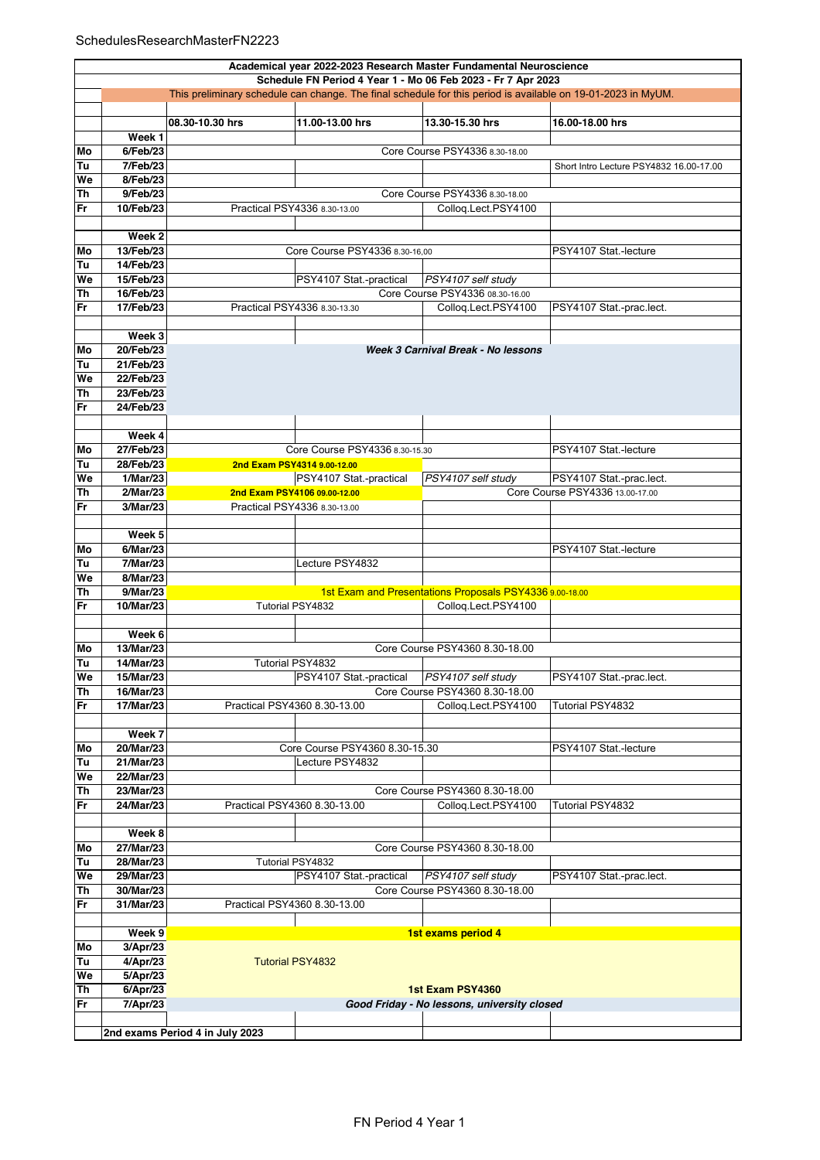|          | Academical year 2022-2023 Research Master Fundamental Neuroscience |                                                                                                              |                                             |                                                         |                                         |  |  |  |
|----------|--------------------------------------------------------------------|--------------------------------------------------------------------------------------------------------------|---------------------------------------------|---------------------------------------------------------|-----------------------------------------|--|--|--|
|          | Schedule FN Period 4 Year 1 - Mo 06 Feb 2023 - Fr 7 Apr 2023       |                                                                                                              |                                             |                                                         |                                         |  |  |  |
|          |                                                                    | This preliminary schedule can change. The final schedule for this period is available on 19-01-2023 in MyUM. |                                             |                                                         |                                         |  |  |  |
|          |                                                                    |                                                                                                              |                                             |                                                         |                                         |  |  |  |
|          |                                                                    | 08.30-10.30 hrs                                                                                              | 11.00-13.00 hrs                             | 13.30-15.30 hrs                                         | 16.00-18.00 hrs                         |  |  |  |
|          | Week 1                                                             |                                                                                                              |                                             |                                                         |                                         |  |  |  |
| Mo       | 6/Feb/23                                                           |                                                                                                              |                                             | Core Course PSY4336 8.30-18.00                          |                                         |  |  |  |
| Tu       | 7/Feb/23                                                           |                                                                                                              |                                             |                                                         | Short Intro Lecture PSY4832 16.00-17.00 |  |  |  |
| We       | 8/Feb/23                                                           |                                                                                                              |                                             |                                                         |                                         |  |  |  |
| Th       | 9/Feb/23                                                           |                                                                                                              |                                             | Core Course PSY4336 8.30-18.00                          |                                         |  |  |  |
| Fr       | 10/Feb/23                                                          |                                                                                                              | Practical PSY4336 8.30-13.00                | Collog.Lect.PSY4100                                     |                                         |  |  |  |
|          | Week 2                                                             |                                                                                                              |                                             |                                                         |                                         |  |  |  |
| Mo       | 13/Feb/23                                                          |                                                                                                              | Core Course PSY4336 8.30-16,00              |                                                         | PSY4107 Stat.-lecture                   |  |  |  |
| Tu       | 14/Feb/23                                                          |                                                                                                              |                                             |                                                         |                                         |  |  |  |
| We       | 15/Feb/23                                                          |                                                                                                              | PSY4107 Stat.-practical                     | PSY4107 self study                                      |                                         |  |  |  |
| Th       | 16/Feb/23                                                          |                                                                                                              |                                             | Core Course PSY4336 08.30-16.00                         |                                         |  |  |  |
| Fr       | 17/Feb/23                                                          |                                                                                                              | Practical PSY4336 8.30-13.30                | Colloq.Lect.PSY4100                                     | PSY4107 Stat.-prac.lect.                |  |  |  |
|          |                                                                    |                                                                                                              |                                             |                                                         |                                         |  |  |  |
|          | Week 3                                                             |                                                                                                              |                                             |                                                         |                                         |  |  |  |
| Mo       | 20/Feb/23                                                          |                                                                                                              |                                             | Week 3 Carnival Break - No lessons                      |                                         |  |  |  |
| Tu       | 21/Feb/23                                                          |                                                                                                              |                                             |                                                         |                                         |  |  |  |
| We       | 22/Feb/23                                                          |                                                                                                              |                                             |                                                         |                                         |  |  |  |
| Th       | 23/Feb/23                                                          |                                                                                                              |                                             |                                                         |                                         |  |  |  |
| Fr       | 24/Feb/23                                                          |                                                                                                              |                                             |                                                         |                                         |  |  |  |
|          |                                                                    |                                                                                                              |                                             |                                                         |                                         |  |  |  |
|          | Week 4                                                             |                                                                                                              |                                             |                                                         |                                         |  |  |  |
| Mo       | 27/Feb/23                                                          |                                                                                                              | Core Course PSY4336 8.30-15.30              |                                                         | PSY4107 Stat.-lecture                   |  |  |  |
| Tu       | 28/Feb/23                                                          |                                                                                                              | 2nd Exam PSY4314 9.00-12.00                 |                                                         |                                         |  |  |  |
| We       | 1/Mar/23                                                           |                                                                                                              | PSY4107 Stat.-practical                     | PSY4107 self study                                      | PSY4107 Stat.-prac.lect.                |  |  |  |
| Th       | $2$ /Mar/23                                                        |                                                                                                              | 2nd Exam PSY4106 09.00-12.00                |                                                         | Core Course PSY4336 13.00-17.00         |  |  |  |
| Fr       | 3/Mar/23                                                           |                                                                                                              | Practical PSY4336 8.30-13.00                |                                                         |                                         |  |  |  |
|          |                                                                    |                                                                                                              |                                             |                                                         |                                         |  |  |  |
|          | Week 5                                                             |                                                                                                              |                                             |                                                         |                                         |  |  |  |
| Mo<br>Tu | 6/Mar/23<br>7/Mar/23                                               |                                                                                                              | Lecture PSY4832                             |                                                         | PSY4107 Stat.-lecture                   |  |  |  |
| We       | $8$ /Mar/23                                                        |                                                                                                              |                                             |                                                         |                                         |  |  |  |
| Th       | 9/Mar/23                                                           |                                                                                                              |                                             | 1st Exam and Presentations Proposals PSY4336 9.00-18.00 |                                         |  |  |  |
| Fr       | 10/Mar/23                                                          |                                                                                                              | Tutorial PSY4832                            | Collog.Lect.PSY4100                                     |                                         |  |  |  |
|          |                                                                    |                                                                                                              |                                             |                                                         |                                         |  |  |  |
|          | Week 6                                                             |                                                                                                              |                                             |                                                         |                                         |  |  |  |
| Mo       | 13/Mar/23                                                          |                                                                                                              |                                             | Core Course PSY4360 8.30-18.00                          |                                         |  |  |  |
| Tu       | 14/Mar/23                                                          |                                                                                                              | Tutorial PSY4832                            |                                                         |                                         |  |  |  |
| We       | 15/Mar/23                                                          |                                                                                                              | PSY4107 Stat.-practical  PSY4107 self study |                                                         | PSY4107 Stat.-prac.lect.                |  |  |  |
| Th       | 16/Mar/23                                                          |                                                                                                              |                                             | Core Course PSY4360 8.30-18.00                          |                                         |  |  |  |
| Fr       | 17/Mar/23                                                          |                                                                                                              | Practical PSY4360 8.30-13.00                | Collog.Lect.PSY4100                                     | Tutorial PSY4832                        |  |  |  |
|          |                                                                    |                                                                                                              |                                             |                                                         |                                         |  |  |  |
|          | Week 7                                                             |                                                                                                              |                                             |                                                         |                                         |  |  |  |
| Mo       | 20/Mar/23                                                          |                                                                                                              | Core Course PSY4360 8.30-15.30              |                                                         | PSY4107 Stat.-lecture                   |  |  |  |
| Tu       | 21/Mar/23                                                          |                                                                                                              | Lecture PSY4832                             |                                                         |                                         |  |  |  |
| We       | 22/Mar/23                                                          |                                                                                                              |                                             |                                                         |                                         |  |  |  |
| Th       | 23/Mar/23                                                          |                                                                                                              |                                             | Core Course PSY4360 8.30-18.00                          |                                         |  |  |  |
| Fr       | 24/Mar/23                                                          |                                                                                                              | Practical PSY4360 8.30-13.00                | Collog.Lect.PSY4100                                     | Tutorial PSY4832                        |  |  |  |
|          | Week 8                                                             |                                                                                                              |                                             |                                                         |                                         |  |  |  |
| Mo       | 27/Mar/23                                                          |                                                                                                              |                                             | Core Course PSY4360 8.30-18.00                          |                                         |  |  |  |
| Tu       | 28/Mar/23                                                          |                                                                                                              | Tutorial PSY4832                            |                                                         |                                         |  |  |  |
| We       | 29/Mar/23                                                          |                                                                                                              | PSY4107 Stat.-practical                     | PSY4107 self study                                      | PSY4107 Stat.-prac.lect.                |  |  |  |
| Th       | 30/Mar/23                                                          |                                                                                                              |                                             | Core Course PSY4360 8.30-18.00                          |                                         |  |  |  |
| Fr       | 31/Mar/23                                                          |                                                                                                              | Practical PSY4360 8.30-13.00                |                                                         |                                         |  |  |  |
|          |                                                                    |                                                                                                              |                                             |                                                         |                                         |  |  |  |
|          | Week 9                                                             |                                                                                                              |                                             | 1st exams period 4                                      |                                         |  |  |  |
| Mo       | 3/Apr/23                                                           |                                                                                                              |                                             |                                                         |                                         |  |  |  |
| Tu       | 4/Apr/23                                                           |                                                                                                              | <b>Tutorial PSY4832</b>                     |                                                         |                                         |  |  |  |
| We       | 5/Apr/23                                                           |                                                                                                              |                                             |                                                         |                                         |  |  |  |
| Th       | 6/Apr/23                                                           |                                                                                                              |                                             | 1st Exam PSY4360                                        |                                         |  |  |  |
| Fr       | 7/Apr/23                                                           |                                                                                                              |                                             | Good Friday - No lessons, university closed             |                                         |  |  |  |
|          |                                                                    |                                                                                                              |                                             |                                                         |                                         |  |  |  |
|          |                                                                    | 2nd exams Period 4 in July 2023                                                                              |                                             |                                                         |                                         |  |  |  |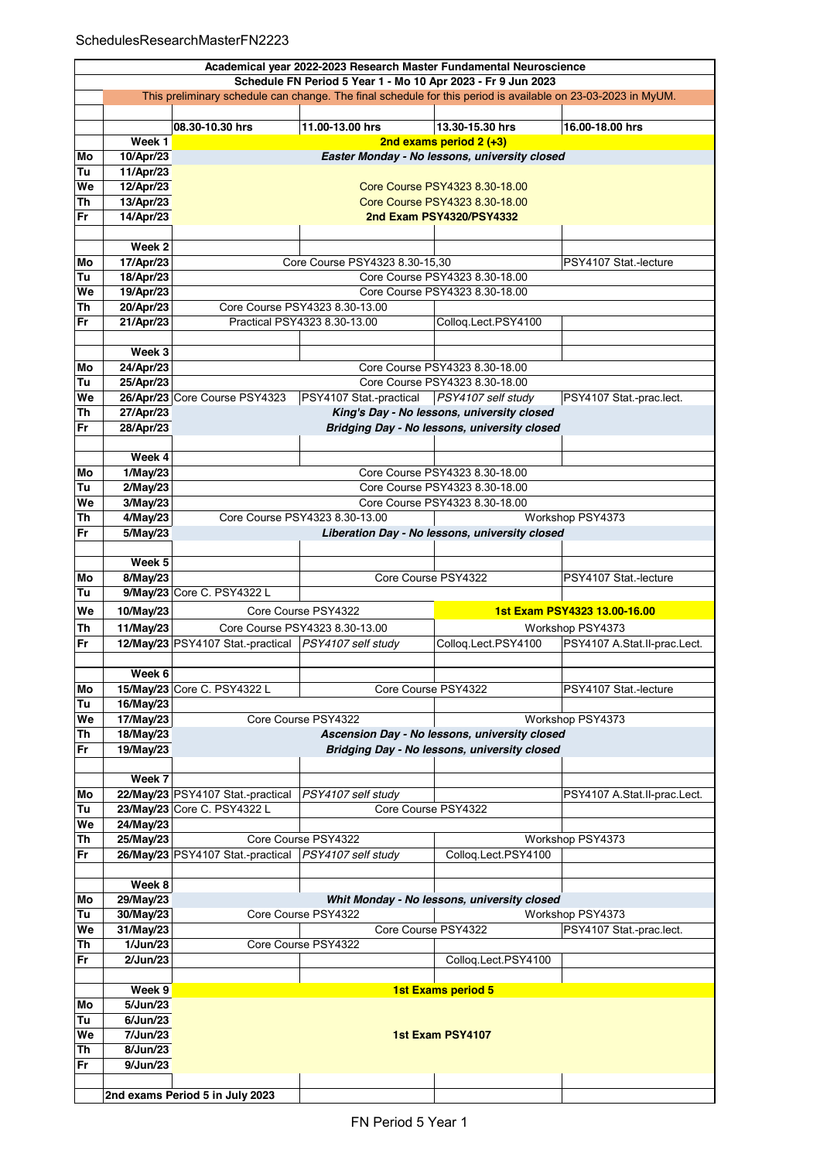|           | Academical year 2022-2023 Research Master Fundamental Neuroscience                                                                                                           |                                                      |                                              |                                                |                              |  |  |
|-----------|------------------------------------------------------------------------------------------------------------------------------------------------------------------------------|------------------------------------------------------|----------------------------------------------|------------------------------------------------|------------------------------|--|--|
|           | Schedule FN Period 5 Year 1 - Mo 10 Apr 2023 - Fr 9 Jun 2023<br>This preliminary schedule can change. The final schedule for this period is available on 23-03-2023 in MyUM. |                                                      |                                              |                                                |                              |  |  |
|           |                                                                                                                                                                              |                                                      |                                              |                                                |                              |  |  |
|           |                                                                                                                                                                              | 08.30-10.30 hrs                                      | 11.00-13.00 hrs                              | 13.30-15.30 hrs                                | 16.00-18.00 hrs              |  |  |
|           | Week 1                                                                                                                                                                       |                                                      |                                              | 2nd exams period $2 (+3)$                      |                              |  |  |
| Mo        | 10/Apr/23                                                                                                                                                                    |                                                      |                                              | Easter Monday - No lessons, university closed  |                              |  |  |
| Tu        | 11/Apr/23                                                                                                                                                                    |                                                      |                                              |                                                |                              |  |  |
| We        | 12/Apr/23                                                                                                                                                                    |                                                      |                                              | Core Course PSY4323 8.30-18.00                 |                              |  |  |
| Th        | 13/Apr/23                                                                                                                                                                    |                                                      |                                              | Core Course PSY4323 8.30-18.00                 |                              |  |  |
| Fr        | 14/Apr/23                                                                                                                                                                    | 2nd Exam PSY4320/PSY4332                             |                                              |                                                |                              |  |  |
|           |                                                                                                                                                                              |                                                      |                                              |                                                |                              |  |  |
|           | Week <sub>2</sub>                                                                                                                                                            |                                                      |                                              |                                                |                              |  |  |
| Mo        | 17/Apr/23                                                                                                                                                                    |                                                      | Core Course PSY4323 8.30-15,30               |                                                | PSY4107 Stat -lecture        |  |  |
| Tu        | 18/Apr/23                                                                                                                                                                    | Core Course PSY4323 8.30-18.00                       |                                              |                                                |                              |  |  |
| We        | 19/Apr/23                                                                                                                                                                    |                                                      |                                              | Core Course PSY4323 8.30-18.00                 |                              |  |  |
| Th        | 20/Apr/23                                                                                                                                                                    |                                                      | Core Course PSY4323 8.30-13.00               |                                                |                              |  |  |
| Fr        | 21/Apr/23                                                                                                                                                                    |                                                      | Practical PSY4323 8.30-13.00                 | Colloq.Lect.PSY4100                            |                              |  |  |
|           |                                                                                                                                                                              |                                                      |                                              |                                                |                              |  |  |
|           | Week 3                                                                                                                                                                       |                                                      |                                              |                                                |                              |  |  |
| Mo        | 24/Apr/23                                                                                                                                                                    |                                                      |                                              | Core Course PSY4323 8.30-18.00                 |                              |  |  |
| Tu        | 25/Apr/23                                                                                                                                                                    |                                                      |                                              | Core Course PSY4323 8.30-18.00                 |                              |  |  |
| We        |                                                                                                                                                                              | 26/Apr/23 Core Course PSY4323                        | PSY4107 Stat.-practical   PSY4107 self study |                                                | PSY4107 Stat.-prac.lect.     |  |  |
| <b>Th</b> | 27/Apr/23                                                                                                                                                                    |                                                      |                                              | King's Day - No lessons, university closed     |                              |  |  |
| Fr.       | 28/Apr/23                                                                                                                                                                    |                                                      |                                              | Bridging Day - No lessons, university closed   |                              |  |  |
|           |                                                                                                                                                                              |                                                      |                                              |                                                |                              |  |  |
|           | Week 4                                                                                                                                                                       |                                                      |                                              |                                                |                              |  |  |
| Mo        | 1/May/23                                                                                                                                                                     |                                                      |                                              | Core Course PSY4323 8.30-18.00                 |                              |  |  |
| Tu        | 2/May/23                                                                                                                                                                     |                                                      |                                              | Core Course PSY4323 8.30-18.00                 |                              |  |  |
| We        | 3/May/23                                                                                                                                                                     |                                                      |                                              | Core Course PSY4323 8.30-18.00                 |                              |  |  |
| Th        | 4/May/23                                                                                                                                                                     |                                                      | Core Course PSY4323 8.30-13.00               |                                                | Workshop PSY4373             |  |  |
| Fr        | 5/May/23                                                                                                                                                                     |                                                      |                                              | Liberation Day - No lessons, university closed |                              |  |  |
|           |                                                                                                                                                                              |                                                      |                                              |                                                |                              |  |  |
|           | Week 5                                                                                                                                                                       |                                                      |                                              |                                                |                              |  |  |
| Mo        | 8/May/23                                                                                                                                                                     |                                                      | Core Course PSY4322                          |                                                | PSY4107 Stat -lecture        |  |  |
| Tu        |                                                                                                                                                                              | 9/May/23 Core C. PSY4322 L                           |                                              |                                                |                              |  |  |
| We        | 10/May/23                                                                                                                                                                    |                                                      | Core Course PSY4322                          |                                                | 1st Exam PSY4323 13.00-16.00 |  |  |
| <b>Th</b> | 11/May/23                                                                                                                                                                    |                                                      | Core Course PSY4323 8.30-13.00               |                                                | Workshop PSY4373             |  |  |
| Fr        |                                                                                                                                                                              | 12/May/23 PSY4107 Stat.-practical PSY4107 self study |                                              | Colloq.Lect.PSY4100                            | PSY4107 A.Stat.II-prac.Lect. |  |  |
|           |                                                                                                                                                                              |                                                      |                                              |                                                |                              |  |  |
|           | Week 6                                                                                                                                                                       |                                                      |                                              |                                                |                              |  |  |
| Mo        |                                                                                                                                                                              | 15/May/23 Core C. PSY4322 L                          | Core Course PSY4322                          |                                                | PSY4107 Stat.-lecture        |  |  |
| Tu        | 16/May/23                                                                                                                                                                    |                                                      |                                              |                                                |                              |  |  |
| We        | 17/May/23                                                                                                                                                                    |                                                      | Core Course PSY4322                          |                                                | Workshop PSY4373             |  |  |
| Th        | 18/May/23                                                                                                                                                                    |                                                      |                                              | Ascension Day - No lessons, university closed  |                              |  |  |
| Fr        | 19/May/23                                                                                                                                                                    |                                                      |                                              | Bridging Day - No lessons, university closed   |                              |  |  |
|           |                                                                                                                                                                              |                                                      |                                              |                                                |                              |  |  |
|           | Week 7                                                                                                                                                                       |                                                      |                                              |                                                |                              |  |  |
| Mo        |                                                                                                                                                                              | 22/May/23 PSY4107 Stat.-practical                    | PSY4107 self study                           |                                                | PSY4107 A.Stat.II-prac.Lect. |  |  |
| Tu        |                                                                                                                                                                              | 23/May/23 Core C. PSY4322 L                          | Core Course PSY4322                          |                                                |                              |  |  |
| We        | 24/May/23                                                                                                                                                                    |                                                      |                                              |                                                |                              |  |  |
| Th        | 25/May/23                                                                                                                                                                    |                                                      | Core Course PSY4322                          |                                                | Workshop PSY4373             |  |  |
| Fr        |                                                                                                                                                                              | 26/May/23 PSY4107 Stat.-practical                    | PSY4107 self study                           | Colloq.Lect.PSY4100                            |                              |  |  |
|           |                                                                                                                                                                              |                                                      |                                              |                                                |                              |  |  |
|           | Week 8                                                                                                                                                                       |                                                      |                                              |                                                |                              |  |  |
| Mo        | 29/May/23                                                                                                                                                                    |                                                      |                                              | Whit Monday - No lessons, university closed    |                              |  |  |
| Tu        | 30/May/23                                                                                                                                                                    |                                                      | Core Course PSY4322                          |                                                | Workshop PSY4373             |  |  |
| We        | 31/May/23                                                                                                                                                                    |                                                      | Core Course PSY4322                          |                                                | PSY4107 Stat.-prac.lect.     |  |  |
| Th        | 1/Jun/23                                                                                                                                                                     |                                                      | Core Course PSY4322                          |                                                |                              |  |  |
| Fr        | $2$ /Jun/23                                                                                                                                                                  |                                                      |                                              | Collog.Lect.PSY4100                            |                              |  |  |
|           |                                                                                                                                                                              |                                                      |                                              |                                                |                              |  |  |
|           | Week 9                                                                                                                                                                       |                                                      |                                              | <b>1st Exams period 5</b>                      |                              |  |  |
| Mo        | 5/Jun/23                                                                                                                                                                     |                                                      |                                              |                                                |                              |  |  |
| Tu        | 6/Jun/23                                                                                                                                                                     |                                                      |                                              |                                                |                              |  |  |
| We        | 7/Jun/23                                                                                                                                                                     |                                                      |                                              | 1st Exam PSY4107                               |                              |  |  |
| Th        | 8/Jun/23                                                                                                                                                                     |                                                      |                                              |                                                |                              |  |  |
| Fr        | 9/Jun/23                                                                                                                                                                     |                                                      |                                              |                                                |                              |  |  |
|           |                                                                                                                                                                              |                                                      |                                              |                                                |                              |  |  |
|           |                                                                                                                                                                              | 2nd exams Period 5 in July 2023                      |                                              |                                                |                              |  |  |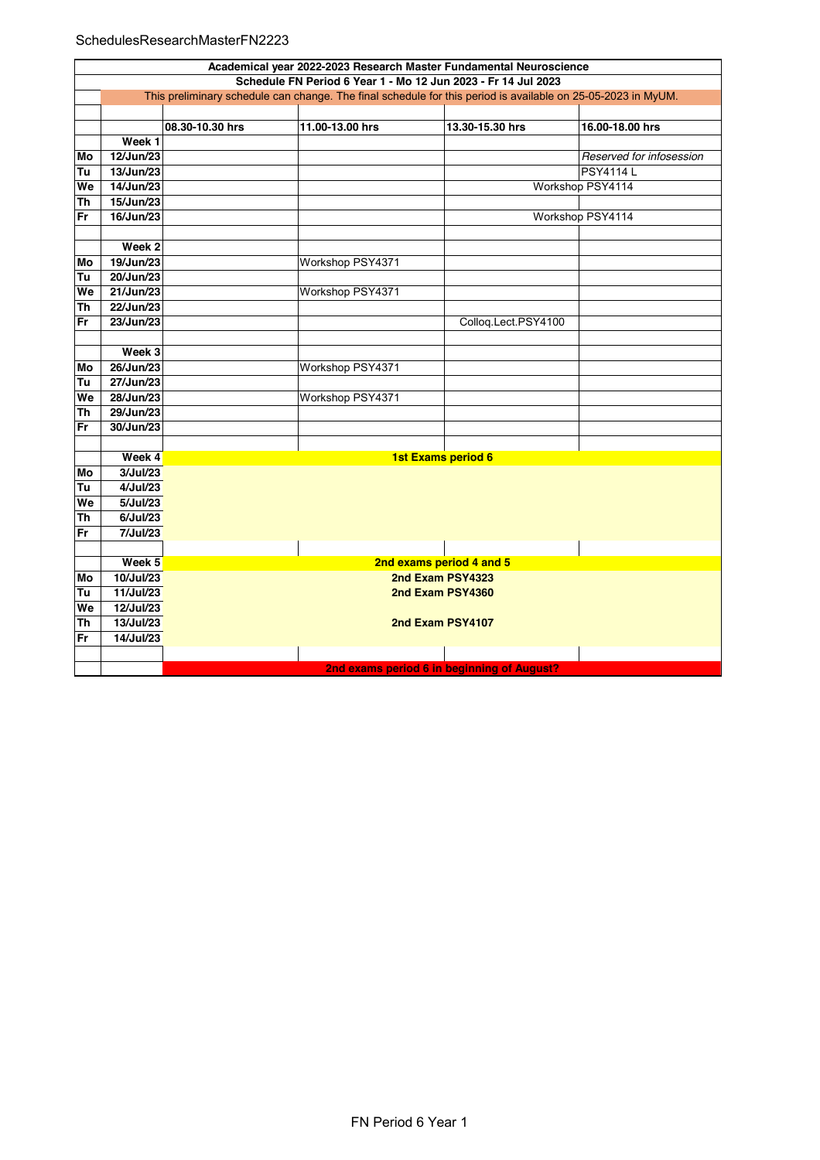## SchedulesResearchMasterFN2223

|           | Academical year 2022-2023 Research Master Fundamental Neuroscience                                           |                 |                  |                                            |                          |  |  |  |
|-----------|--------------------------------------------------------------------------------------------------------------|-----------------|------------------|--------------------------------------------|--------------------------|--|--|--|
|           | Schedule FN Period 6 Year 1 - Mo 12 Jun 2023 - Fr 14 Jul 2023                                                |                 |                  |                                            |                          |  |  |  |
|           | This preliminary schedule can change. The final schedule for this period is available on 25-05-2023 in MyUM. |                 |                  |                                            |                          |  |  |  |
|           |                                                                                                              |                 |                  |                                            |                          |  |  |  |
|           |                                                                                                              | 08.30-10.30 hrs | 11.00-13.00 hrs  | 13.30-15.30 hrs                            | 16.00-18.00 hrs          |  |  |  |
|           | Week <sub>1</sub>                                                                                            |                 |                  |                                            |                          |  |  |  |
| Mo        | 12/Jun/23                                                                                                    |                 |                  |                                            | Reserved for infosession |  |  |  |
| Tu        | 13/Jun/23                                                                                                    |                 |                  |                                            | <b>PSY4114L</b>          |  |  |  |
| We        | 14/Jun/23                                                                                                    |                 |                  |                                            | Workshop PSY4114         |  |  |  |
| Th        | 15/Jun/23                                                                                                    |                 |                  |                                            |                          |  |  |  |
| Fr        | 16/Jun/23                                                                                                    |                 |                  |                                            | Workshop PSY4114         |  |  |  |
|           |                                                                                                              |                 |                  |                                            |                          |  |  |  |
|           | Week 2                                                                                                       |                 |                  |                                            |                          |  |  |  |
| Mo        | 19/Jun/23                                                                                                    |                 | Workshop PSY4371 |                                            |                          |  |  |  |
| Tu        | 20/Jun/23                                                                                                    |                 |                  |                                            |                          |  |  |  |
| We        | 21/Jun/23                                                                                                    |                 | Workshop PSY4371 |                                            |                          |  |  |  |
| <b>Th</b> | 22/Jun/23                                                                                                    |                 |                  |                                            |                          |  |  |  |
| Fr        | 23/Jun/23                                                                                                    |                 |                  | Colloq.Lect.PSY4100                        |                          |  |  |  |
|           |                                                                                                              |                 |                  |                                            |                          |  |  |  |
|           | Week 3                                                                                                       |                 |                  |                                            |                          |  |  |  |
| Mo        | 26/Jun/23                                                                                                    |                 | Workshop PSY4371 |                                            |                          |  |  |  |
| Tu        | 27/Jun/23                                                                                                    |                 |                  |                                            |                          |  |  |  |
| We        | 28/Jun/23                                                                                                    |                 | Workshop PSY4371 |                                            |                          |  |  |  |
| Th        | 29/Jun/23                                                                                                    |                 |                  |                                            |                          |  |  |  |
| Fr        | 30/Jun/23                                                                                                    |                 |                  |                                            |                          |  |  |  |
|           |                                                                                                              |                 |                  |                                            |                          |  |  |  |
|           | Week 4                                                                                                       |                 |                  | <b>1st Exams period 6</b>                  |                          |  |  |  |
| Mo        | 3/Jul/23                                                                                                     |                 |                  |                                            |                          |  |  |  |
| Tu        | 4/Jul/23                                                                                                     |                 |                  |                                            |                          |  |  |  |
| We        | 5/Jul/23                                                                                                     |                 |                  |                                            |                          |  |  |  |
| Th        | 6/Jul/23                                                                                                     |                 |                  |                                            |                          |  |  |  |
| Fr        | 7/Jul/23                                                                                                     |                 |                  |                                            |                          |  |  |  |
|           |                                                                                                              |                 |                  |                                            |                          |  |  |  |
|           | Week 5                                                                                                       |                 |                  | 2nd exams period 4 and 5                   |                          |  |  |  |
| Mo        | 10/Jul/23                                                                                                    |                 |                  | 2nd Exam PSY4323                           |                          |  |  |  |
| Tu        | 11/Jul/23                                                                                                    |                 |                  | 2nd Exam PSY4360                           |                          |  |  |  |
| We        | 12/Jul/23                                                                                                    |                 |                  |                                            |                          |  |  |  |
| <b>Th</b> | 13/Jul/23                                                                                                    |                 |                  | 2nd Exam PSY4107                           |                          |  |  |  |
| Fr        | 14/Jul/23                                                                                                    |                 |                  |                                            |                          |  |  |  |
|           |                                                                                                              |                 |                  |                                            |                          |  |  |  |
|           |                                                                                                              |                 |                  | 2nd exams period 6 in beginning of August? |                          |  |  |  |